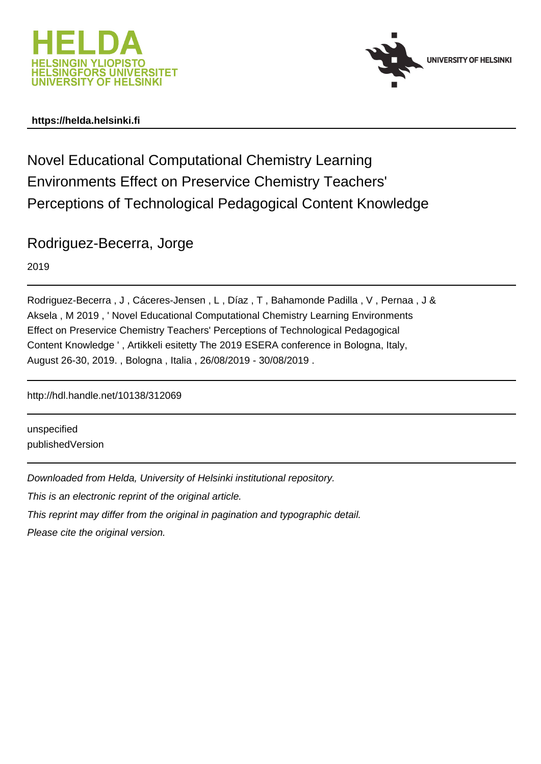



#### **https://helda.helsinki.fi**

Novel Educational Computational Chemistry Learning Environments Effect on Preservice Chemistry Teachers' Perceptions of Technological Pedagogical Content Knowledge

Rodriguez-Becerra, Jorge

2019

Rodriguez-Becerra , J , Cáceres-Jensen , L , Díaz , T , Bahamonde Padilla , V , Pernaa , J & Aksela , M 2019 , ' Novel Educational Computational Chemistry Learning Environments Effect on Preservice Chemistry Teachers' Perceptions of Technological Pedagogical Content Knowledge ' , Artikkeli esitetty The 2019 ESERA conference in Bologna, Italy, August 26-30, 2019. , Bologna , Italia , 26/08/2019 - 30/08/2019 .

http://hdl.handle.net/10138/312069

unspecified publishedVersion

Downloaded from Helda, University of Helsinki institutional repository.

This is an electronic reprint of the original article.

This reprint may differ from the original in pagination and typographic detail.

Please cite the original version.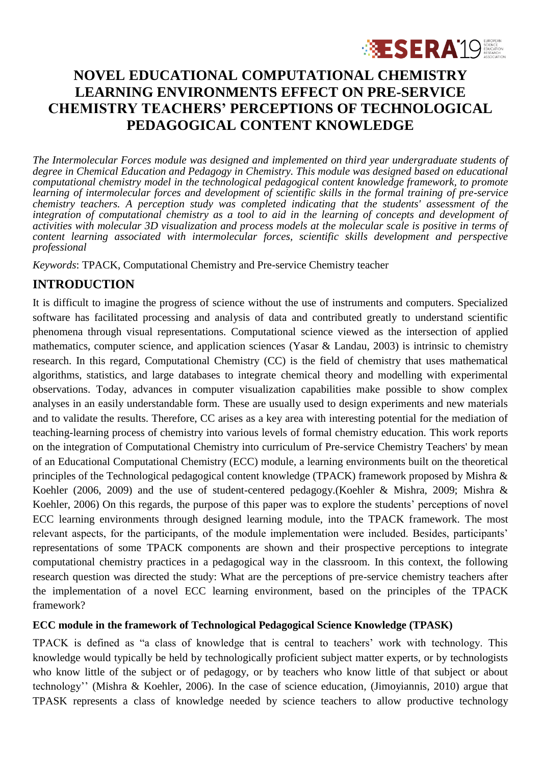

# **NOVEL EDUCATIONAL COMPUTATIONAL CHEMISTRY LEARNING ENVIRONMENTS EFFECT ON PRE-SERVICE CHEMISTRY TEACHERS' PERCEPTIONS OF TECHNOLOGICAL PEDAGOGICAL CONTENT KNOWLEDGE**

*The Intermolecular Forces module was designed and implemented on third year undergraduate students of degree in Chemical Education and Pedagogy in Chemistry. This module was designed based on educational computational chemistry model in the technological pedagogical content knowledge framework, to promote learning of intermolecular forces and development of scientific skills in the formal training of pre-service chemistry teachers. A perception study was completed indicating that the students' assessment of the integration of computational chemistry as a tool to aid in the learning of concepts and development of activities with molecular 3D visualization and process models at the molecular scale is positive in terms of content learning associated with intermolecular forces, scientific skills development and perspective professional*

*Keywords*: TPACK, Computational Chemistry and Pre-service Chemistry teacher

## **INTRODUCTION**

It is difficult to imagine the progress of science without the use of instruments and computers. Specialized software has facilitated processing and analysis of data and contributed greatly to understand scientific phenomena through visual representations. Computational science viewed as the intersection of applied mathematics, computer science, and application sciences [\(Yasar & Landau, 2003\)](#page-3-0) is intrinsic to chemistry research. In this regard, Computational Chemistry (CC) is the field of chemistry that uses mathematical algorithms, statistics, and large databases to integrate chemical theory and modelling with experimental observations. Today, advances in computer visualization capabilities make possible to show complex analyses in an easily understandable form. These are usually used to design experiments and new materials and to validate the results. Therefore, CC arises as a key area with interesting potential for the mediation of teaching-learning process of chemistry into various levels of formal chemistry education. This work reports on the integration of Computational Chemistry into curriculum of Pre-service Chemistry Teachers' by mean of an Educational Computational Chemistry (ECC) module, a learning environments built on the theoretical principles of the Technological pedagogical content knowledge (TPACK) framework proposed by Mishra & Koehler (2006, 2009) and the use of student-centered pedagogy.[\(Koehler & Mishra, 2009;](#page-3-1) [Mishra &](#page-3-2)  [Koehler, 2006\)](#page-3-2) On this regards, the purpose of this paper was to explore the students' perceptions of novel ECC learning environments through designed learning module, into the TPACK framework. The most relevant aspects, for the participants, of the module implementation were included. Besides, participants' representations of some TPACK components are shown and their prospective perceptions to integrate computational chemistry practices in a pedagogical way in the classroom. In this context, the following research question was directed the study: What are the perceptions of pre-service chemistry teachers after the implementation of a novel ECC learning environment, based on the principles of the TPACK framework?

#### **ECC module in the framework of Technological Pedagogical Science Knowledge (TPASK)**

TPACK is defined as "a class of knowledge that is central to teachers' work with technology. This knowledge would typically be held by technologically proficient subject matter experts, or by technologists who know little of the subject or of pedagogy, or by teachers who know little of that subject or about technology'' [\(Mishra & Koehler, 2006\)](#page-3-2). In the case of science education, [\(Jimoyiannis, 2010\)](#page-3-3) argue that TPASK represents a class of knowledge needed by science teachers to allow productive technology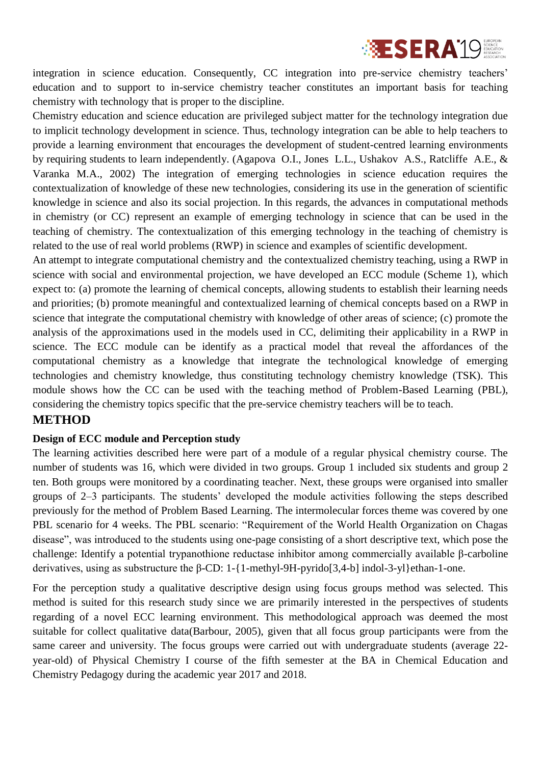

integration in science education. Consequently, CC integration into pre-service chemistry teachers' education and to support to in-service chemistry teacher constitutes an important basis for teaching chemistry with technology that is proper to the discipline.

Chemistry education and science education are privileged subject matter for the technology integration due to implicit technology development in science. Thus, technology integration can be able to help teachers to provide a learning environment that encourages the development of student-centred learning environments by requiring students to learn independently. [\(Agapova O.I., Jones L.L., Ushakov A.S., Ratcliffe A.E., &](#page-3-4)  [Varanka M.A., 2002\)](#page-3-4) The integration of emerging technologies in science education requires the contextualization of knowledge of these new technologies, considering its use in the generation of scientific knowledge in science and also its social projection. In this regards, the advances in computational methods in chemistry (or CC) represent an example of emerging technology in science that can be used in the teaching of chemistry. The contextualization of this emerging technology in the teaching of chemistry is related to the use of real world problems (RWP) in science and examples of scientific development.

An attempt to integrate computational chemistry and the contextualized chemistry teaching, using a RWP in science with social and environmental projection, we have developed an ECC module (Scheme 1), which expect to: (a) promote the learning of chemical concepts, allowing students to establish their learning needs and priorities; (b) promote meaningful and contextualized learning of chemical concepts based on a RWP in science that integrate the computational chemistry with knowledge of other areas of science; (c) promote the analysis of the approximations used in the models used in CC, delimiting their applicability in a RWP in science. The ECC module can be identify as a practical model that reveal the affordances of the computational chemistry as a knowledge that integrate the technological knowledge of emerging technologies and chemistry knowledge, thus constituting technology chemistry knowledge (TSK). This module shows how the CC can be used with the teaching method of Problem-Based Learning (PBL), considering the chemistry topics specific that the pre-service chemistry teachers will be to teach.

## **METHOD**

#### **Design of ECC module and Perception study**

The learning activities described here were part of a module of a regular physical chemistry course. The number of students was 16, which were divided in two groups. Group 1 included six students and group 2 ten. Both groups were monitored by a coordinating teacher. Next, these groups were organised into smaller groups of 2–3 participants. The students' developed the module activities following the steps described previously for the method of Problem Based Learning. The intermolecular forces theme was covered by one PBL scenario for 4 weeks. The PBL scenario: "Requirement of the World Health Organization on Chagas disease", was introduced to the students using one-page consisting of a short descriptive text, which pose the challenge: Identify a potential trypanothione reductase inhibitor among commercially available β-carboline derivatives, using as substructure the β-CD: 1-{1-methyl-9H-pyrido[3,4-b] indol-3-yl}ethan-1-one.

For the perception study a qualitative descriptive design using focus groups method was selected. This method is suited for this research study since we are primarily interested in the perspectives of students regarding of a novel ECC learning environment. This methodological approach was deemed the most suitable for collect qualitative data[\(Barbour, 2005\)](#page-3-5), given that all focus group participants were from the same career and university. The focus groups were carried out with undergraduate students (average 22 year-old) of Physical Chemistry I course of the fifth semester at the BA in Chemical Education and Chemistry Pedagogy during the academic year 2017 and 2018.